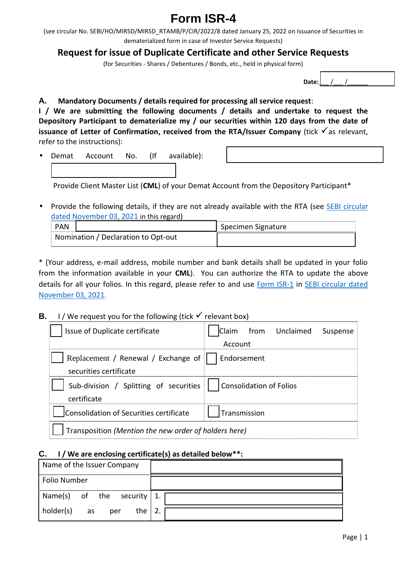## Form ISR -4

(seeircula 6 BBI/HO/MIRSD/MIRSD\_RTAMER/P/CalrRy/2000/22 258 ssuance of Securitie dematerialized form in case of Investor Service Requests) Requefs transport is sue of Duplicate Certificate and other (for Securstheses / Debentures / Bonds, etc., held in physical f

 $D$  a t $e$ 

A. Mandatory Documents / depaids ersead biogrephy from the quest I / We sautelmitting the following docalmondenuts detrocaketeailts reques Depository Participantz to molyemiactue rialeicuritiedsa ywsithricom 12h0e date issuanclee totfer of Confi**rmaetifore och** the/IRSTI over Compropendiquents, refer to the instructions):

Demat AccoNum.t (If available U@U@00000000 li ididididididididi.

Provide Client MC&MSLtef Leosutr (DemattroAntonceo uDnetpository Participant

. Providibee following details, tailfe aldoyaaraeilanbole wits the Belh-Bel ReiTrAsular  $ddated Novembein0B, i<sub>s</sub>20eqlard$ 

| PAN                       | Specimen Signature |
|---------------------------|--------------------|
| NominatDoenclaratOompotud |                    |

\*(Youarddresms, aid address, mobile number and bank details shal from the information av $G$ M) able of a manytohorrize the RTA hesoboped ate details for all your folios. In thias nothes greated in please in enfertution dat November 0.3, 2021

| B. I / Weeque stfpoouthe follo $\delta$ uning let via crit box)                                               |
|---------------------------------------------------------------------------------------------------------------|
| $\Box$ $\mathbf{\mathfrak{B}}$ sue of Duplicate certi $\Box$ $\mathbf{\mathfrak{A}}$ aimfrom Unclaim eSolsper |
| Account                                                                                                       |
| $\bigcup$ @ eplacement/ Renaw Exchan $\bigcup$ @ ndorsement                                                   |
| securidersificate                                                                                             |
| $\Box$ @ u-bivision / Splitting $\Box$ @ onsolidation of Folios                                               |
| certificate                                                                                                   |
| <b>U</b> @ on solid a Seiocouroifies ceÙ @ U @ rasmn ission                                                   |
| $\Box$ $@$ ranspo $\ast$ Meinotrion therdew of holders here)                                                  |

## C. I / We are enclosi $(s)$ gasced retitaid as to the low

| Name of the Issue   |  |
|---------------------|--|
| Folio Number        |  |
| Name(s) of setchuer |  |
| holder(sa)s<br>per  |  |